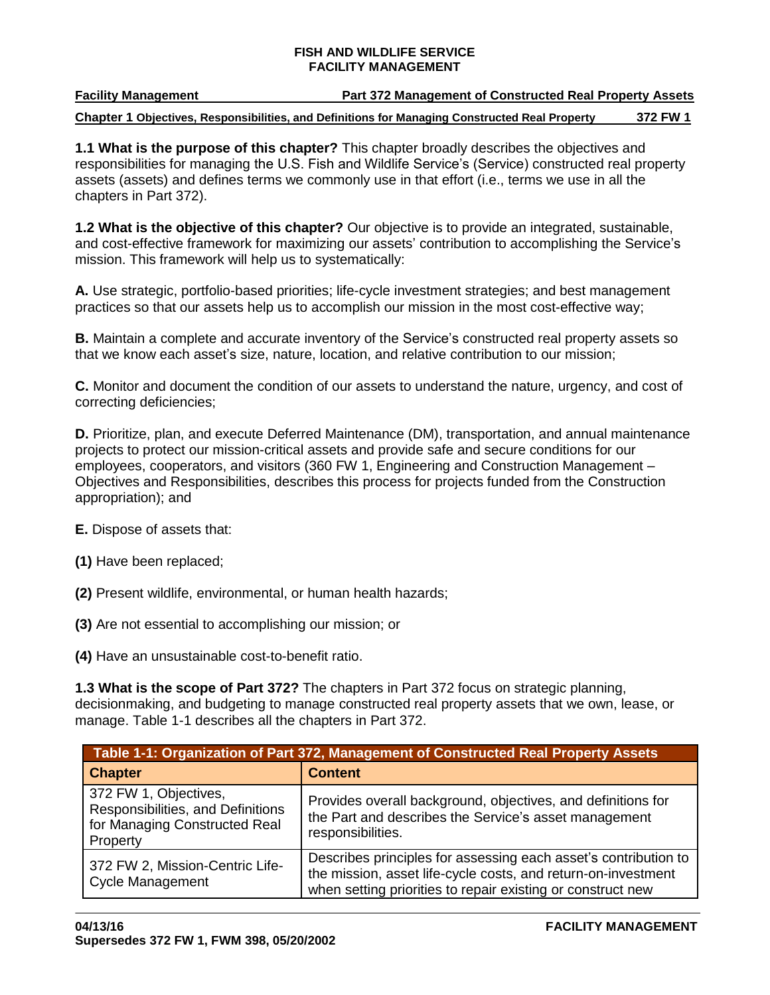## **Facility Management Part 372 Management of Constructed Real Property Assets**

**Chapter 1 Objectives, Responsibilities, and Definitions for Managing Constructed Real Property 372 FW 1**

**1.1 What is the purpose of this chapter?** This chapter broadly describes the objectives and responsibilities for managing the U.S. Fish and Wildlife Service's (Service) constructed real property assets (assets) and defines terms we commonly use in that effort (i.e., terms we use in all the chapters in Part 372).

**1.2 What is the objective of this chapter?** Our objective is to provide an integrated, sustainable, and cost-effective framework for maximizing our assets' contribution to accomplishing the Service's mission. This framework will help us to systematically:

**A.** Use strategic, portfolio-based priorities; life-cycle investment strategies; and best management practices so that our assets help us to accomplish our mission in the most cost-effective way;

**B.** Maintain a complete and accurate inventory of the Service's constructed real property assets so that we know each asset's size, nature, location, and relative contribution to our mission;

**C.** Monitor and document the condition of our assets to understand the nature, urgency, and cost of correcting deficiencies;

**D.** Prioritize, plan, and execute Deferred Maintenance (DM), transportation, and annual maintenance projects to protect our mission-critical assets and provide safe and secure conditions for our employees, cooperators, and visitors (360 FW 1, Engineering and Construction Management – Objectives and Responsibilities, describes this process for projects funded from the Construction appropriation); and

**E.** Dispose of assets that:

- **(1)** Have been replaced;
- **(2)** Present wildlife, environmental, or human health hazards;
- **(3)** Are not essential to accomplishing our mission; or
- **(4)** Have an unsustainable cost-to-benefit ratio.

**1.3 What is the scope of Part 372?** The chapters in Part 372 focus on strategic planning, decisionmaking, and budgeting to manage constructed real property assets that we own, lease, or manage. Table 1-1 describes all the chapters in Part 372.

|                                                                                                         | Table 1-1: Organization of Part 372, Management of Constructed Real Property Assets                                                                                                             |
|---------------------------------------------------------------------------------------------------------|-------------------------------------------------------------------------------------------------------------------------------------------------------------------------------------------------|
| <b>Chapter</b>                                                                                          | <b>Content</b>                                                                                                                                                                                  |
| 372 FW 1, Objectives,<br>Responsibilities, and Definitions<br>for Managing Constructed Real<br>Property | Provides overall background, objectives, and definitions for<br>the Part and describes the Service's asset management<br>responsibilities.                                                      |
| 372 FW 2, Mission-Centric Life-<br><b>Cycle Management</b>                                              | Describes principles for assessing each asset's contribution to<br>the mission, asset life-cycle costs, and return-on-investment<br>when setting priorities to repair existing or construct new |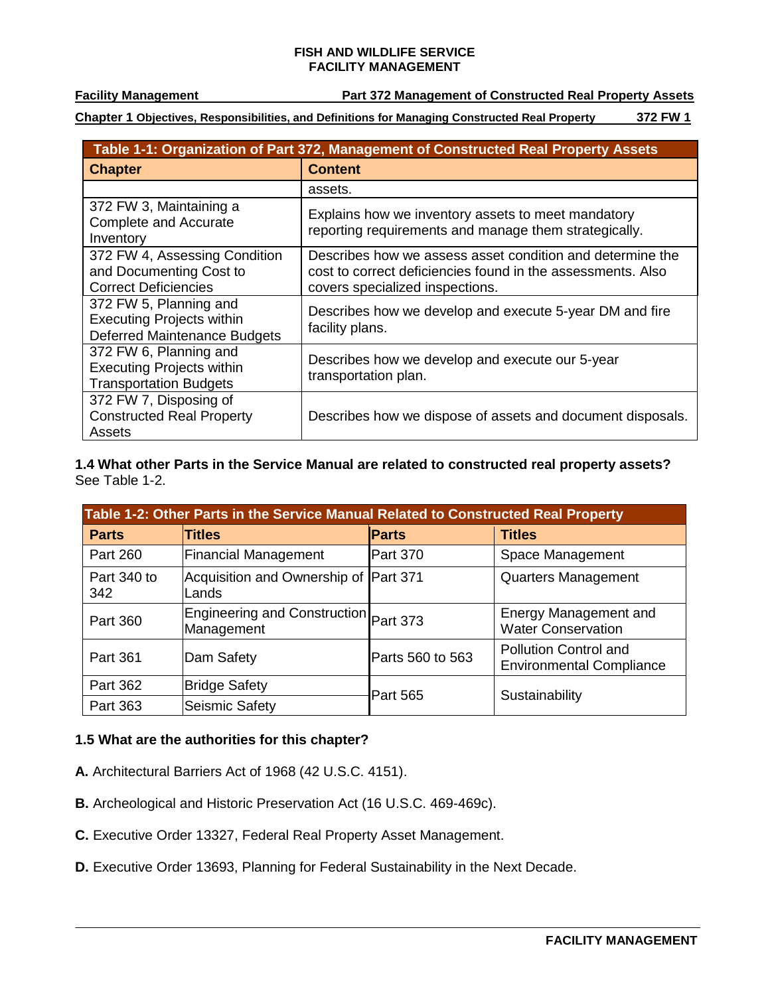**Facility Management Part 372 Management of Constructed Real Property Assets**

**Chapter 1 Objectives, Responsibilities, and Definitions for Managing Constructed Real Property 372 FW 1**

|                                                                                             | Table 1-1: Organization of Part 372, Management of Constructed Real Property Assets                                                                         |
|---------------------------------------------------------------------------------------------|-------------------------------------------------------------------------------------------------------------------------------------------------------------|
| <b>Chapter</b>                                                                              | <b>Content</b>                                                                                                                                              |
|                                                                                             | assets.                                                                                                                                                     |
| 372 FW 3, Maintaining a<br><b>Complete and Accurate</b><br>Inventory                        | Explains how we inventory assets to meet mandatory<br>reporting requirements and manage them strategically.                                                 |
| 372 FW 4, Assessing Condition<br>and Documenting Cost to<br><b>Correct Deficiencies</b>     | Describes how we assess asset condition and determine the<br>cost to correct deficiencies found in the assessments. Also<br>covers specialized inspections. |
| 372 FW 5, Planning and<br><b>Executing Projects within</b><br>Deferred Maintenance Budgets  | Describes how we develop and execute 5-year DM and fire<br>facility plans.                                                                                  |
| 372 FW 6, Planning and<br><b>Executing Projects within</b><br><b>Transportation Budgets</b> | Describes how we develop and execute our 5-year<br>transportation plan.                                                                                     |
| 372 FW 7, Disposing of<br><b>Constructed Real Property</b><br>Assets                        | Describes how we dispose of assets and document disposals.                                                                                                  |

**1.4 What other Parts in the Service Manual are related to constructed real property assets?**  See Table 1-2.

|                    | Table 1-2: Other Parts in the Service Manual Related to Constructed Real Property |                  |                                                                 |
|--------------------|-----------------------------------------------------------------------------------|------------------|-----------------------------------------------------------------|
| <b>Parts</b>       | <b>Titles</b>                                                                     | <b>Parts</b>     | <b>Titles</b>                                                   |
| <b>Part 260</b>    | <b>Financial Management</b>                                                       | Part 370         | Space Management                                                |
| Part 340 to<br>342 | Acquisition and Ownership of Part 371<br>Lands                                    |                  | <b>Quarters Management</b>                                      |
| Part 360           | Engineering and Construction Part 373<br>Management                               |                  | <b>Energy Management and</b><br><b>Water Conservation</b>       |
| <b>Part 361</b>    | Dam Safety                                                                        | Parts 560 to 563 | <b>Pollution Control and</b><br><b>Environmental Compliance</b> |
| Part 362           | <b>Bridge Safety</b>                                                              | <b>Part 565</b>  | Sustainability                                                  |
| Part 363           | Seismic Safety                                                                    |                  |                                                                 |

# **1.5 What are the authorities for this chapter?**

- **A.** Architectural Barriers Act of 1968 (42 U.S.C. 4151).
- **B.** Archeological and Historic Preservation Act (16 U.S.C. 469-469c).
- **C.** Executive Order 13327, Federal Real Property Asset Management.
- **D.** Executive Order 13693, Planning for Federal Sustainability in the Next Decade.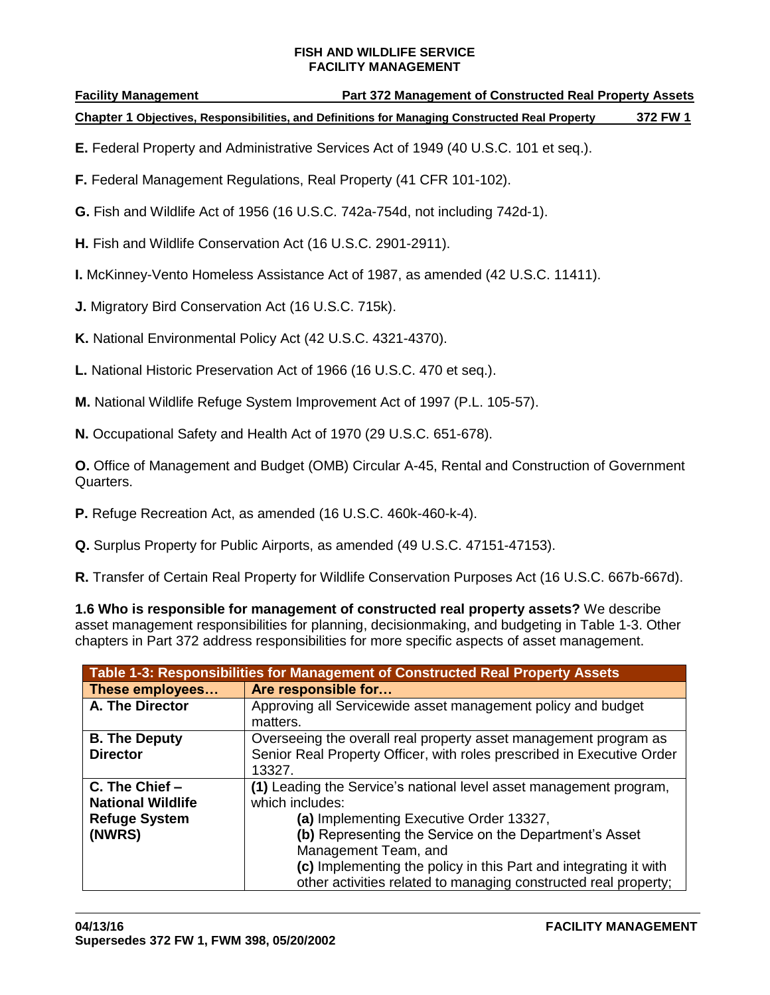**Facility Management Part 372 Management of Constructed Real Property Assets**

**Chapter 1 Objectives, Responsibilities, and Definitions for Managing Constructed Real Property 372 FW 1**

- **E.** Federal Property and Administrative Services Act of 1949 (40 U.S.C. 101 et seq.).
- **F.** Federal Management Regulations, Real Property (41 CFR 101-102).
- **G.** Fish and Wildlife Act of 1956 (16 U.S.C. 742a-754d, not including 742d-1).
- **H.** Fish and Wildlife Conservation Act (16 U.S.C. 2901-2911).
- **I.** McKinney-Vento Homeless Assistance Act of 1987, as amended (42 U.S.C. 11411).
- **J.** Migratory Bird Conservation Act (16 U.S.C. 715k).
- **K.** National Environmental Policy Act (42 U.S.C. 4321-4370).
- **L.** National Historic Preservation Act of 1966 (16 U.S.C. 470 et seq.).
- **M.** National Wildlife Refuge System Improvement Act of 1997 (P.L. 105-57).
- **N.** Occupational Safety and Health Act of 1970 (29 U.S.C. 651-678).

**O.** Office of Management and Budget (OMB) Circular A-45, Rental and Construction of Government Quarters.

- **P.** Refuge Recreation Act, as amended (16 U.S.C. 460k-460-k-4).
- **Q.** Surplus Property for Public Airports, as amended (49 U.S.C. 47151-47153).

**R.** Transfer of Certain Real Property for Wildlife Conservation Purposes Act (16 U.S.C. 667b-667d).

**1.6 Who is responsible for management of constructed real property assets?** We describe asset management responsibilities for planning, decisionmaking, and budgeting in Table 1-3. Other chapters in Part 372 address responsibilities for more specific aspects of asset management.

|                          | Table 1-3: Responsibilities for Management of Constructed Real Property Assets |
|--------------------------|--------------------------------------------------------------------------------|
| These employees          | Are responsible for                                                            |
| A. The Director          | Approving all Servicewide asset management policy and budget                   |
|                          | matters.                                                                       |
| <b>B. The Deputy</b>     | Overseeing the overall real property asset management program as               |
| <b>Director</b>          | Senior Real Property Officer, with roles prescribed in Executive Order         |
|                          | 13327.                                                                         |
| C. The Chief -           | (1) Leading the Service's national level asset management program,             |
| <b>National Wildlife</b> | which includes:                                                                |
| <b>Refuge System</b>     | (a) Implementing Executive Order 13327,                                        |
| (NWRS)                   | (b) Representing the Service on the Department's Asset                         |
|                          | Management Team, and                                                           |
|                          | (c) Implementing the policy in this Part and integrating it with               |
|                          | other activities related to managing constructed real property;                |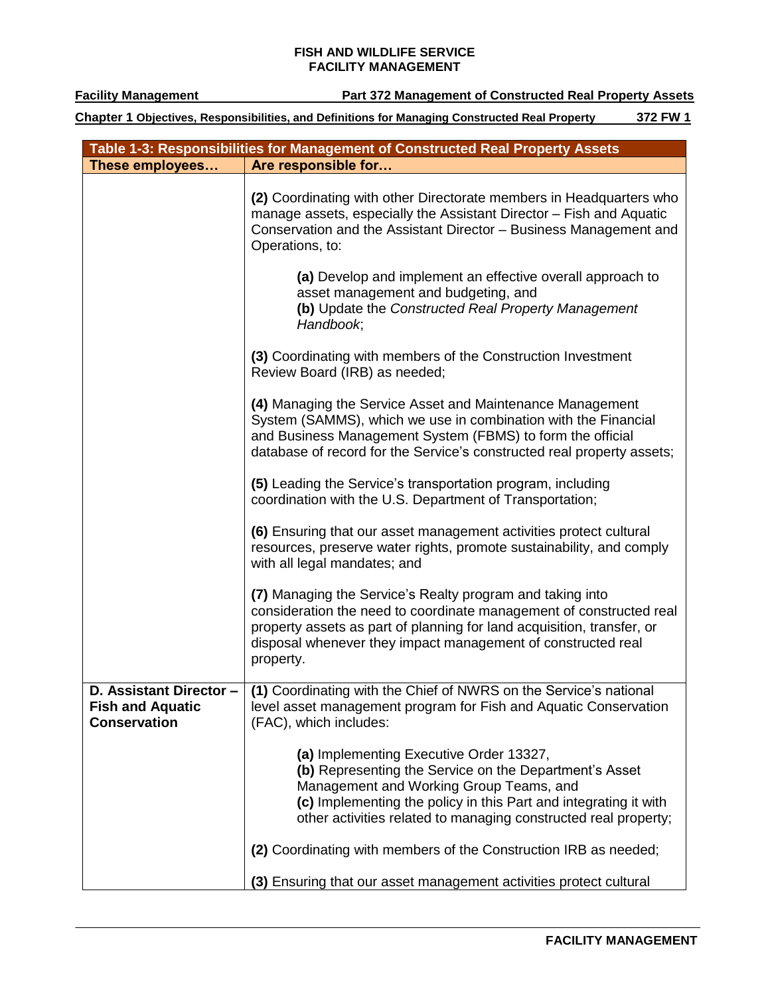**Facility Management Part 372 Management of Constructed Real Property Assets** 

|                                                                           | Table 1-3: Responsibilities for Management of Constructed Real Property Assets                                                                                                                                                                                                          |
|---------------------------------------------------------------------------|-----------------------------------------------------------------------------------------------------------------------------------------------------------------------------------------------------------------------------------------------------------------------------------------|
| These employees                                                           | Are responsible for                                                                                                                                                                                                                                                                     |
|                                                                           | (2) Coordinating with other Directorate members in Headquarters who<br>manage assets, especially the Assistant Director - Fish and Aquatic<br>Conservation and the Assistant Director - Business Management and<br>Operations, to:                                                      |
|                                                                           | (a) Develop and implement an effective overall approach to<br>asset management and budgeting, and<br>(b) Update the Constructed Real Property Management<br>Handbook;                                                                                                                   |
|                                                                           | (3) Coordinating with members of the Construction Investment<br>Review Board (IRB) as needed;                                                                                                                                                                                           |
|                                                                           | (4) Managing the Service Asset and Maintenance Management<br>System (SAMMS), which we use in combination with the Financial<br>and Business Management System (FBMS) to form the official<br>database of record for the Service's constructed real property assets;                     |
|                                                                           | (5) Leading the Service's transportation program, including<br>coordination with the U.S. Department of Transportation;                                                                                                                                                                 |
|                                                                           | (6) Ensuring that our asset management activities protect cultural<br>resources, preserve water rights, promote sustainability, and comply<br>with all legal mandates; and                                                                                                              |
|                                                                           | (7) Managing the Service's Realty program and taking into<br>consideration the need to coordinate management of constructed real<br>property assets as part of planning for land acquisition, transfer, or<br>disposal whenever they impact management of constructed real<br>property. |
| D. Assistant Director -<br><b>Fish and Aquatic</b><br><b>Conservation</b> | (1) Coordinating with the Chief of NWRS on the Service's national<br>level asset management program for Fish and Aquatic Conservation<br>(FAC), which includes:                                                                                                                         |
|                                                                           | (a) Implementing Executive Order 13327,<br>(b) Representing the Service on the Department's Asset<br>Management and Working Group Teams, and<br>(c) Implementing the policy in this Part and integrating it with<br>other activities related to managing constructed real property;     |
|                                                                           | (2) Coordinating with members of the Construction IRB as needed;                                                                                                                                                                                                                        |
|                                                                           | (3) Ensuring that our asset management activities protect cultural                                                                                                                                                                                                                      |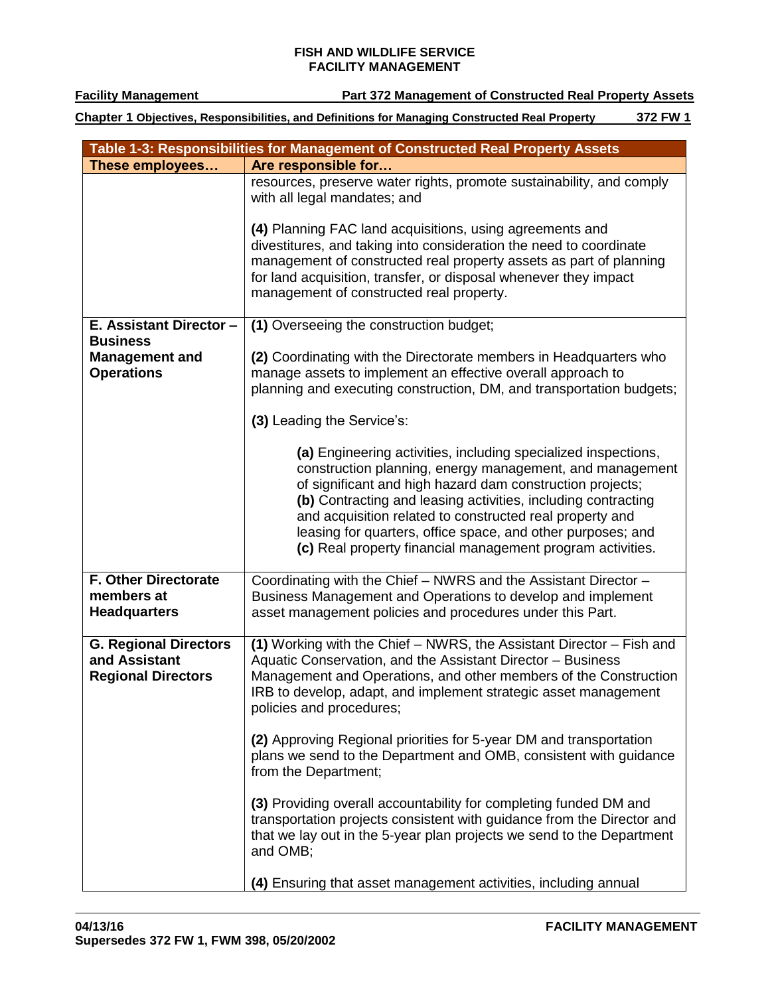**Facility Management Part 372 Management of Constructed Real Property Assets** 

|                                                                            | Table 1-3: Responsibilities for Management of Constructed Real Property Assets                                                                                                                                                                                                                                                                                                                                                                    |
|----------------------------------------------------------------------------|---------------------------------------------------------------------------------------------------------------------------------------------------------------------------------------------------------------------------------------------------------------------------------------------------------------------------------------------------------------------------------------------------------------------------------------------------|
| These employees                                                            | Are responsible for                                                                                                                                                                                                                                                                                                                                                                                                                               |
|                                                                            | resources, preserve water rights, promote sustainability, and comply<br>with all legal mandates; and                                                                                                                                                                                                                                                                                                                                              |
|                                                                            | (4) Planning FAC land acquisitions, using agreements and<br>divestitures, and taking into consideration the need to coordinate<br>management of constructed real property assets as part of planning<br>for land acquisition, transfer, or disposal whenever they impact<br>management of constructed real property.                                                                                                                              |
| E. Assistant Director -<br><b>Business</b>                                 | (1) Overseeing the construction budget;                                                                                                                                                                                                                                                                                                                                                                                                           |
| <b>Management and</b><br><b>Operations</b>                                 | (2) Coordinating with the Directorate members in Headquarters who<br>manage assets to implement an effective overall approach to<br>planning and executing construction, DM, and transportation budgets;                                                                                                                                                                                                                                          |
|                                                                            | (3) Leading the Service's:                                                                                                                                                                                                                                                                                                                                                                                                                        |
|                                                                            | (a) Engineering activities, including specialized inspections,<br>construction planning, energy management, and management<br>of significant and high hazard dam construction projects;<br>(b) Contracting and leasing activities, including contracting<br>and acquisition related to constructed real property and<br>leasing for quarters, office space, and other purposes; and<br>(c) Real property financial management program activities. |
| <b>F. Other Directorate</b><br>members at<br><b>Headquarters</b>           | Coordinating with the Chief - NWRS and the Assistant Director -<br>Business Management and Operations to develop and implement<br>asset management policies and procedures under this Part.                                                                                                                                                                                                                                                       |
| <b>G. Regional Directors</b><br>and Assistant<br><b>Regional Directors</b> | (1) Working with the Chief - NWRS, the Assistant Director - Fish and<br>Aquatic Conservation, and the Assistant Director - Business<br>Management and Operations, and other members of the Construction<br>IRB to develop, adapt, and implement strategic asset management<br>policies and procedures;                                                                                                                                            |
|                                                                            | (2) Approving Regional priorities for 5-year DM and transportation<br>plans we send to the Department and OMB, consistent with guidance<br>from the Department;                                                                                                                                                                                                                                                                                   |
|                                                                            | (3) Providing overall accountability for completing funded DM and<br>transportation projects consistent with guidance from the Director and<br>that we lay out in the 5-year plan projects we send to the Department<br>and OMB;                                                                                                                                                                                                                  |
|                                                                            | (4) Ensuring that asset management activities, including annual                                                                                                                                                                                                                                                                                                                                                                                   |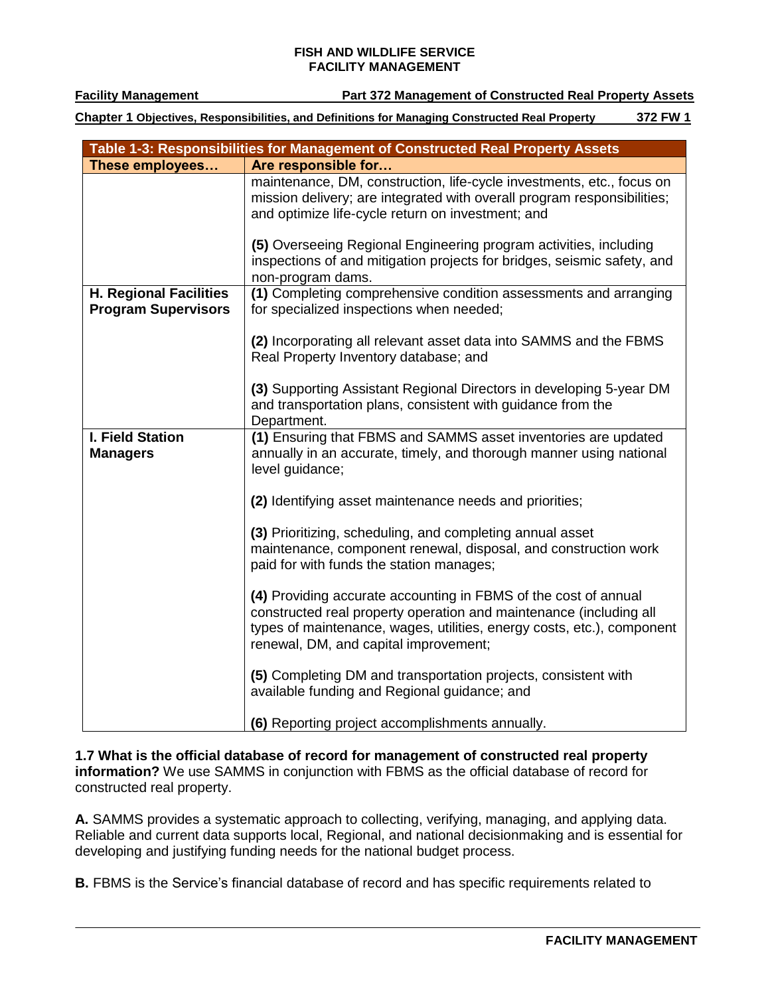**Facility Management Part 372 Management of Constructed Real Property Assets**

**Chapter 1 Objectives, Responsibilities, and Definitions for Managing Constructed Real Property 372 FW 1**

|                                                             | Table 1-3: Responsibilities for Management of Constructed Real Property Assets                                                                                                                                                                           |
|-------------------------------------------------------------|----------------------------------------------------------------------------------------------------------------------------------------------------------------------------------------------------------------------------------------------------------|
| These employees                                             | Are responsible for                                                                                                                                                                                                                                      |
|                                                             | maintenance, DM, construction, life-cycle investments, etc., focus on<br>mission delivery; are integrated with overall program responsibilities;<br>and optimize life-cycle return on investment; and                                                    |
|                                                             | (5) Overseeing Regional Engineering program activities, including<br>inspections of and mitigation projects for bridges, seismic safety, and<br>non-program dams.                                                                                        |
| <b>H. Regional Facilities</b><br><b>Program Supervisors</b> | (1) Completing comprehensive condition assessments and arranging<br>for specialized inspections when needed;                                                                                                                                             |
|                                                             | (2) Incorporating all relevant asset data into SAMMS and the FBMS<br>Real Property Inventory database; and                                                                                                                                               |
|                                                             | (3) Supporting Assistant Regional Directors in developing 5-year DM<br>and transportation plans, consistent with guidance from the<br>Department.                                                                                                        |
| I. Field Station<br><b>Managers</b>                         | (1) Ensuring that FBMS and SAMMS asset inventories are updated<br>annually in an accurate, timely, and thorough manner using national<br>level guidance;                                                                                                 |
|                                                             | (2) Identifying asset maintenance needs and priorities;                                                                                                                                                                                                  |
|                                                             | (3) Prioritizing, scheduling, and completing annual asset<br>maintenance, component renewal, disposal, and construction work<br>paid for with funds the station manages;                                                                                 |
|                                                             | (4) Providing accurate accounting in FBMS of the cost of annual<br>constructed real property operation and maintenance (including all<br>types of maintenance, wages, utilities, energy costs, etc.), component<br>renewal, DM, and capital improvement; |
|                                                             | (5) Completing DM and transportation projects, consistent with<br>available funding and Regional guidance; and                                                                                                                                           |
|                                                             | (6) Reporting project accomplishments annually.                                                                                                                                                                                                          |

**1.7 What is the official database of record for management of constructed real property information?** We use SAMMS in conjunction with FBMS as the official database of record for constructed real property.

**A.** SAMMS provides a systematic approach to collecting, verifying, managing, and applying data. Reliable and current data supports local, Regional, and national decisionmaking and is essential for developing and justifying funding needs for the national budget process.

**B.** FBMS is the Service's financial database of record and has specific requirements related to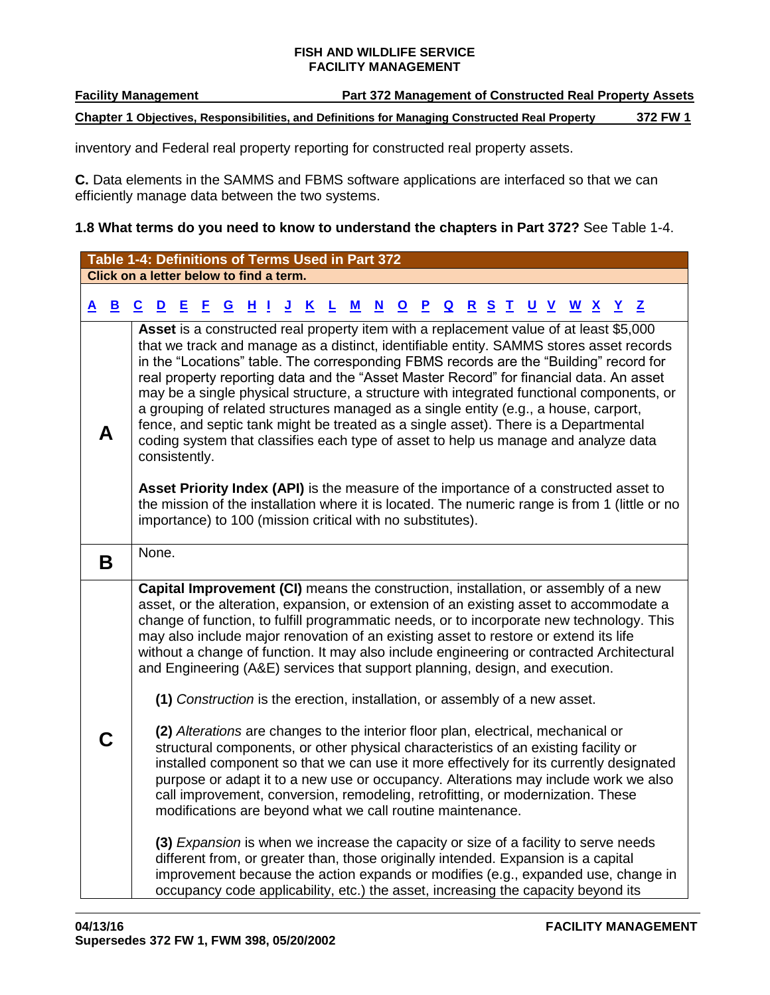**Facility Management Part 372 Management of Constructed Real Property Assets** 

**Chapter 1 Objectives, Responsibilities, and Definitions for Managing Constructed Real Property 372 FW 1**

inventory and Federal real property reporting for constructed real property assets.

**C.** Data elements in the SAMMS and FBMS software applications are interfaced so that we can efficiently manage data between the two systems.

# **1.8 What terms do you need to know to understand the chapters in Part 372?** See Table 1-4.

<span id="page-6-1"></span><span id="page-6-0"></span>

|          |              | Table 1-4: Definitions of Terms Used in Part 372                                                                                                                                                                                                                                                                                                                                                                                                        |   |    |             |         |          |          |   |           |                          |                         |              |                         |                                                                                                                                                                                                                                                                                                                                                                                                                                                                                                                                                                                                                                 |           |  |                |                |              |  |
|----------|--------------|---------------------------------------------------------------------------------------------------------------------------------------------------------------------------------------------------------------------------------------------------------------------------------------------------------------------------------------------------------------------------------------------------------------------------------------------------------|---|----|-------------|---------|----------|----------|---|-----------|--------------------------|-------------------------|--------------|-------------------------|---------------------------------------------------------------------------------------------------------------------------------------------------------------------------------------------------------------------------------------------------------------------------------------------------------------------------------------------------------------------------------------------------------------------------------------------------------------------------------------------------------------------------------------------------------------------------------------------------------------------------------|-----------|--|----------------|----------------|--------------|--|
|          |              | Click on a letter below to find a term.                                                                                                                                                                                                                                                                                                                                                                                                                 |   |    |             |         |          |          |   |           |                          |                         |              |                         |                                                                                                                                                                                                                                                                                                                                                                                                                                                                                                                                                                                                                                 |           |  |                |                |              |  |
| <u>A</u> | $\mathbf{B}$ | $\underline{\mathbf{c}}$<br>$\overline{\mathbf{D}}$                                                                                                                                                                                                                                                                                                                                                                                                     | Е | Е. | $\mathbf G$ | $H$ $I$ | <u>J</u> | <u>K</u> | ┺ | ${\bf M}$ | $\underline{\mathbf{N}}$ | $\overline{\mathbf{o}}$ | $\mathbf{P}$ | $\overline{\mathbf{Q}}$ | $\mathbf{R}$                                                                                                                                                                                                                                                                                                                                                                                                                                                                                                                                                                                                                    | <u>SI</u> |  | <u>U V W X</u> | $\overline{X}$ | $\mathbf{Z}$ |  |
| Α        |              | that we track and manage as a distinct, identifiable entity. SAMMS stores asset records<br>a grouping of related structures managed as a single entity (e.g., a house, carport,<br>fence, and septic tank might be treated as a single asset). There is a Departmental<br>consistently.<br>the mission of the installation where it is located. The numeric range is from 1 (little or no<br>importance) to 100 (mission critical with no substitutes). |   |    |             |         |          |          |   |           |                          |                         |              |                         | Asset is a constructed real property item with a replacement value of at least \$5,000<br>in the "Locations" table. The corresponding FBMS records are the "Building" record for<br>real property reporting data and the "Asset Master Record" for financial data. An asset<br>may be a single physical structure, a structure with integrated functional components, or<br>coding system that classifies each type of asset to help us manage and analyze data<br>Asset Priority Index (API) is the measure of the importance of a constructed asset to                                                                        |           |  |                |                |              |  |
| B        |              | None.                                                                                                                                                                                                                                                                                                                                                                                                                                                   |   |    |             |         |          |          |   |           |                          |                         |              |                         |                                                                                                                                                                                                                                                                                                                                                                                                                                                                                                                                                                                                                                 |           |  |                |                |              |  |
|          |              |                                                                                                                                                                                                                                                                                                                                                                                                                                                         |   |    |             |         |          |          |   |           |                          |                         |              |                         | Capital Improvement (CI) means the construction, installation, or assembly of a new<br>asset, or the alteration, expansion, or extension of an existing asset to accommodate a<br>change of function, to fulfill programmatic needs, or to incorporate new technology. This<br>may also include major renovation of an existing asset to restore or extend its life<br>without a change of function. It may also include engineering or contracted Architectural<br>and Engineering (A&E) services that support planning, design, and execution.<br>(1) Construction is the erection, installation, or assembly of a new asset. |           |  |                |                |              |  |
| C        |              |                                                                                                                                                                                                                                                                                                                                                                                                                                                         |   |    |             |         |          |          |   |           |                          |                         |              |                         | (2) Alterations are changes to the interior floor plan, electrical, mechanical or<br>structural components, or other physical characteristics of an existing facility or<br>installed component so that we can use it more effectively for its currently designated<br>purpose or adapt it to a new use or occupancy. Alterations may include work we also<br>call improvement, conversion, remodeling, retrofitting, or modernization. These<br>modifications are beyond what we call routine maintenance.                                                                                                                     |           |  |                |                |              |  |
|          |              |                                                                                                                                                                                                                                                                                                                                                                                                                                                         |   |    |             |         |          |          |   |           |                          |                         |              |                         | (3) Expansion is when we increase the capacity or size of a facility to serve needs<br>different from, or greater than, those originally intended. Expansion is a capital<br>improvement because the action expands or modifies (e.g., expanded use, change in<br>occupancy code applicability, etc.) the asset, increasing the capacity beyond its                                                                                                                                                                                                                                                                             |           |  |                |                |              |  |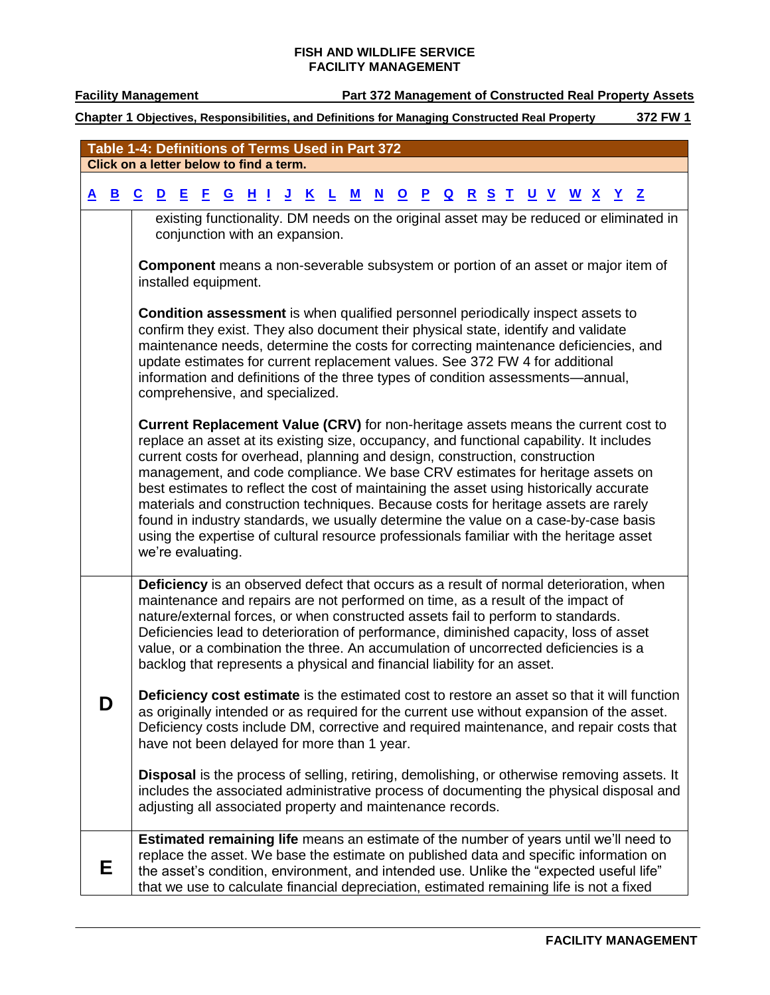# **Facility Management Part 372 Management of Constructed Real Property Assets**

<span id="page-7-1"></span><span id="page-7-0"></span>

|   |              | Table 1-4: Definitions of Terms Used in Part 372 |                      |       |              |                                                                                                                                                                                                                                                                                                                                                                                                                                                                                                                                                                                                                              |   |   |              |           |                |                          |  |  |  |                                                                                                                                                                                                                                                                                     |  |
|---|--------------|--------------------------------------------------|----------------------|-------|--------------|------------------------------------------------------------------------------------------------------------------------------------------------------------------------------------------------------------------------------------------------------------------------------------------------------------------------------------------------------------------------------------------------------------------------------------------------------------------------------------------------------------------------------------------------------------------------------------------------------------------------------|---|---|--------------|-----------|----------------|--------------------------|--|--|--|-------------------------------------------------------------------------------------------------------------------------------------------------------------------------------------------------------------------------------------------------------------------------------------|--|
|   |              | Click on a letter below to find a term.          |                      |       |              |                                                                                                                                                                                                                                                                                                                                                                                                                                                                                                                                                                                                                              |   |   |              |           |                |                          |  |  |  |                                                                                                                                                                                                                                                                                     |  |
| A | $\mathbf{B}$ | C<br>$\mathbf{D}$                                |                      | 8 E E | $\mathbf{G}$ | $H$ $I$ $J$ $K$                                                                                                                                                                                                                                                                                                                                                                                                                                                                                                                                                                                                              | L | M | $\mathbf{N}$ | <u>OP</u> | $\overline{a}$ | <u>R S T U V W X Y Z</u> |  |  |  |                                                                                                                                                                                                                                                                                     |  |
|   |              |                                                  |                      |       |              |                                                                                                                                                                                                                                                                                                                                                                                                                                                                                                                                                                                                                              |   |   |              |           |                |                          |  |  |  | existing functionality. DM needs on the original asset may be reduced or eliminated in                                                                                                                                                                                              |  |
|   |              |                                                  |                      |       |              | conjunction with an expansion.                                                                                                                                                                                                                                                                                                                                                                                                                                                                                                                                                                                               |   |   |              |           |                |                          |  |  |  |                                                                                                                                                                                                                                                                                     |  |
|   |              |                                                  | installed equipment. |       |              |                                                                                                                                                                                                                                                                                                                                                                                                                                                                                                                                                                                                                              |   |   |              |           |                |                          |  |  |  | <b>Component</b> means a non-severable subsystem or portion of an asset or major item of                                                                                                                                                                                            |  |
|   |              |                                                  |                      |       |              | <b>Condition assessment</b> is when qualified personnel periodically inspect assets to<br>confirm they exist. They also document their physical state, identify and validate<br>update estimates for current replacement values. See 372 FW 4 for additional<br>information and definitions of the three types of condition assessments-annual,<br>comprehensive, and specialized.                                                                                                                                                                                                                                           |   |   |              |           |                |                          |  |  |  | maintenance needs, determine the costs for correcting maintenance deficiencies, and                                                                                                                                                                                                 |  |
|   |              |                                                  | we're evaluating.    |       |              | replace an asset at its existing size, occupancy, and functional capability. It includes<br>current costs for overhead, planning and design, construction, construction<br>management, and code compliance. We base CRV estimates for heritage assets on<br>best estimates to reflect the cost of maintaining the asset using historically accurate<br>materials and construction techniques. Because costs for heritage assets are rarely<br>found in industry standards, we usually determine the value on a case-by-case basis<br>using the expertise of cultural resource professionals familiar with the heritage asset |   |   |              |           |                |                          |  |  |  | Current Replacement Value (CRV) for non-heritage assets means the current cost to                                                                                                                                                                                                   |  |
|   |              |                                                  |                      |       |              | maintenance and repairs are not performed on time, as a result of the impact of<br>nature/external forces, or when constructed assets fail to perform to standards.<br>Deficiencies lead to deterioration of performance, diminished capacity, loss of asset<br>value, or a combination the three. An accumulation of uncorrected deficiencies is a<br>backlog that represents a physical and financial liability for an asset.                                                                                                                                                                                              |   |   |              |           |                |                          |  |  |  | Deficiency is an observed defect that occurs as a result of normal deterioration, when                                                                                                                                                                                              |  |
|   | D            |                                                  |                      |       |              | have not been delayed for more than 1 year.                                                                                                                                                                                                                                                                                                                                                                                                                                                                                                                                                                                  |   |   |              |           |                |                          |  |  |  | Deficiency cost estimate is the estimated cost to restore an asset so that it will function<br>as originally intended or as required for the current use without expansion of the asset.<br>Deficiency costs include DM, corrective and required maintenance, and repair costs that |  |
|   |              |                                                  |                      |       |              | adjusting all associated property and maintenance records.                                                                                                                                                                                                                                                                                                                                                                                                                                                                                                                                                                   |   |   |              |           |                |                          |  |  |  | <b>Disposal</b> is the process of selling, retiring, demolishing, or otherwise removing assets. It<br>includes the associated administrative process of documenting the physical disposal and                                                                                       |  |
|   | Е            |                                                  |                      |       |              | that we use to calculate financial depreciation, estimated remaining life is not a fixed                                                                                                                                                                                                                                                                                                                                                                                                                                                                                                                                     |   |   |              |           |                |                          |  |  |  | Estimated remaining life means an estimate of the number of years until we'll need to<br>replace the asset. We base the estimate on published data and specific information on<br>the asset's condition, environment, and intended use. Unlike the "expected useful life"           |  |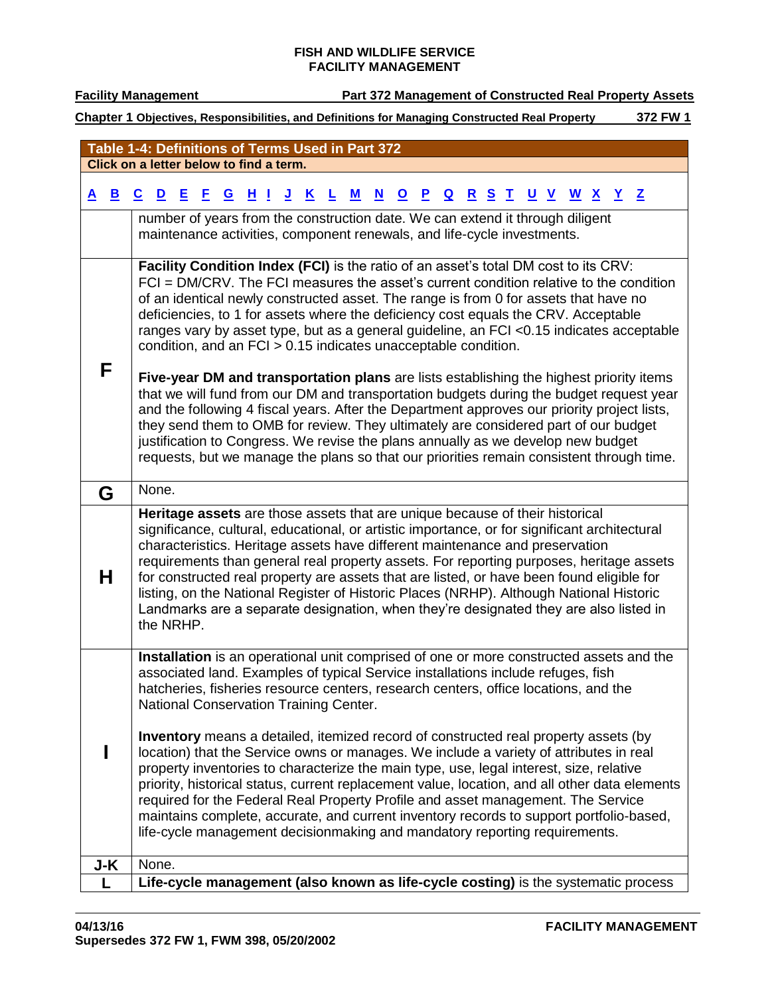<span id="page-8-5"></span><span id="page-8-4"></span><span id="page-8-3"></span><span id="page-8-2"></span><span id="page-8-1"></span><span id="page-8-0"></span>

|          |              | Table 1-4: Definitions of Terms Used in Part 372                                                                                                                                                                                                                       |
|----------|--------------|------------------------------------------------------------------------------------------------------------------------------------------------------------------------------------------------------------------------------------------------------------------------|
|          |              | Click on a letter below to find a term.                                                                                                                                                                                                                                |
| <u>A</u> | $\mathbf{B}$ | 且<br>E.<br><u>HI</u><br><u>J</u><br>$\underline{\mathbf{N}}$<br>$\mathbf{P}$<br><u>R S T</u><br><u>U V W X Y Z</u><br>$\underline{\mathbf{c}}$<br>$\mathbf{D}$<br>$\mathbf{G}$<br>$\overline{\mathbf{K}}$<br>${\bf M}$<br>$\overline{\mathbf{Q}}$<br>$\mathbf{Q}$<br>L |
|          |              | number of years from the construction date. We can extend it through diligent                                                                                                                                                                                          |
|          |              | maintenance activities, component renewals, and life-cycle investments.                                                                                                                                                                                                |
|          |              |                                                                                                                                                                                                                                                                        |
|          |              | Facility Condition Index (FCI) is the ratio of an asset's total DM cost to its CRV:<br>FCI = DM/CRV. The FCI measures the asset's current condition relative to the condition                                                                                          |
|          |              | of an identical newly constructed asset. The range is from 0 for assets that have no                                                                                                                                                                                   |
|          |              | deficiencies, to 1 for assets where the deficiency cost equals the CRV. Acceptable                                                                                                                                                                                     |
|          |              | ranges vary by asset type, but as a general guideline, an FCI <0.15 indicates acceptable                                                                                                                                                                               |
|          |              | condition, and an FCI > 0.15 indicates unacceptable condition.                                                                                                                                                                                                         |
| F        |              | Five-year DM and transportation plans are lists establishing the highest priority items                                                                                                                                                                                |
|          |              | that we will fund from our DM and transportation budgets during the budget request year                                                                                                                                                                                |
|          |              | and the following 4 fiscal years. After the Department approves our priority project lists,                                                                                                                                                                            |
|          |              | they send them to OMB for review. They ultimately are considered part of our budget<br>justification to Congress. We revise the plans annually as we develop new budget                                                                                                |
|          |              | requests, but we manage the plans so that our priorities remain consistent through time.                                                                                                                                                                               |
|          |              |                                                                                                                                                                                                                                                                        |
| G        |              | None.                                                                                                                                                                                                                                                                  |
|          |              | Heritage assets are those assets that are unique because of their historical                                                                                                                                                                                           |
|          |              | significance, cultural, educational, or artistic importance, or for significant architectural<br>characteristics. Heritage assets have different maintenance and preservation                                                                                          |
|          |              | requirements than general real property assets. For reporting purposes, heritage assets                                                                                                                                                                                |
| н        |              | for constructed real property are assets that are listed, or have been found eligible for                                                                                                                                                                              |
|          |              | listing, on the National Register of Historic Places (NRHP). Although National Historic                                                                                                                                                                                |
|          |              | Landmarks are a separate designation, when they're designated they are also listed in<br>the NRHP.                                                                                                                                                                     |
|          |              |                                                                                                                                                                                                                                                                        |
|          |              | Installation is an operational unit comprised of one or more constructed assets and the                                                                                                                                                                                |
|          |              | associated land. Examples of typical Service installations include refuges, fish<br>hatcheries, fisheries resource centers, research centers, office locations, and the                                                                                                |
|          |              | National Conservation Training Center.                                                                                                                                                                                                                                 |
|          |              |                                                                                                                                                                                                                                                                        |
|          |              | <b>Inventory</b> means a detailed, itemized record of constructed real property assets (by                                                                                                                                                                             |
|          |              | location) that the Service owns or manages. We include a variety of attributes in real<br>property inventories to characterize the main type, use, legal interest, size, relative                                                                                      |
|          |              | priority, historical status, current replacement value, location, and all other data elements                                                                                                                                                                          |
|          |              | required for the Federal Real Property Profile and asset management. The Service                                                                                                                                                                                       |
|          |              | maintains complete, accurate, and current inventory records to support portfolio-based,<br>life-cycle management decisionmaking and mandatory reporting requirements.                                                                                                  |
|          |              |                                                                                                                                                                                                                                                                        |
| J-K      |              | None.                                                                                                                                                                                                                                                                  |
|          |              | Life-cycle management (also known as life-cycle costing) is the systematic process                                                                                                                                                                                     |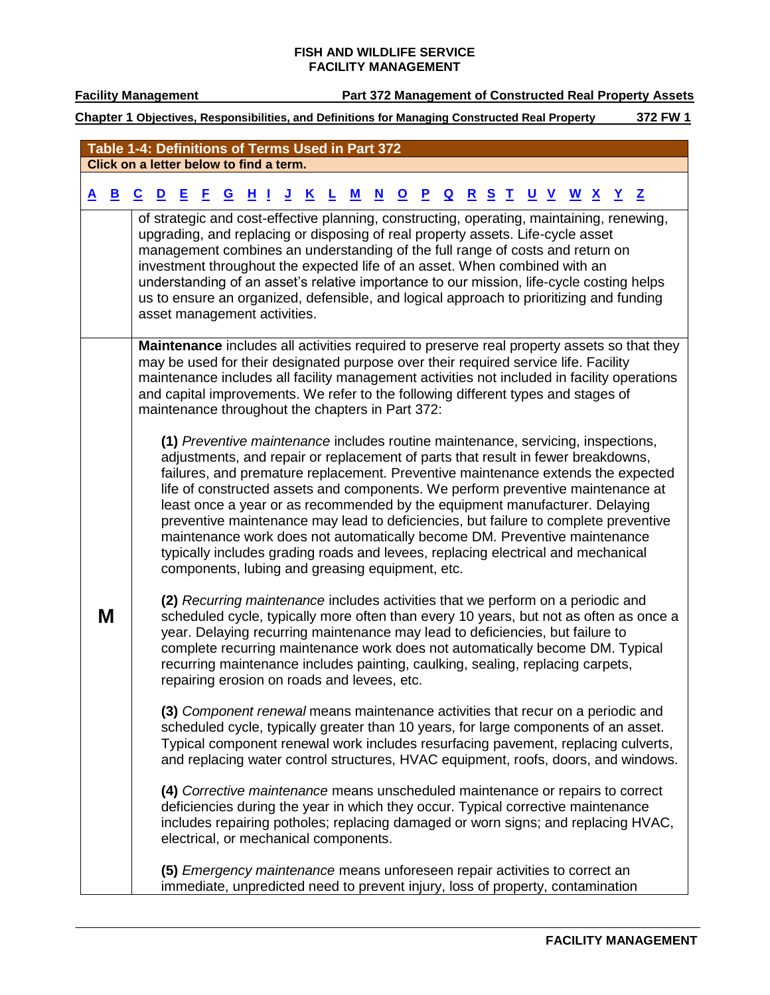<span id="page-9-0"></span>

|   | Table 1-4: Definitions of Terms Used in Part 372                                                                                                                                                                                                                                                                                                                                                                          |  |                                                                                                                                                                                                                                                                                                                                                                                                                                                                                                                                                                                                                                                                                                                                       |  |            |  |  |  |  |                            |            |  |
|---|---------------------------------------------------------------------------------------------------------------------------------------------------------------------------------------------------------------------------------------------------------------------------------------------------------------------------------------------------------------------------------------------------------------------------|--|---------------------------------------------------------------------------------------------------------------------------------------------------------------------------------------------------------------------------------------------------------------------------------------------------------------------------------------------------------------------------------------------------------------------------------------------------------------------------------------------------------------------------------------------------------------------------------------------------------------------------------------------------------------------------------------------------------------------------------------|--|------------|--|--|--|--|----------------------------|------------|--|
|   | Click on a letter below to find a term.                                                                                                                                                                                                                                                                                                                                                                                   |  |                                                                                                                                                                                                                                                                                                                                                                                                                                                                                                                                                                                                                                                                                                                                       |  |            |  |  |  |  |                            |            |  |
|   | <u>A B C D E F G H I J K L</u>                                                                                                                                                                                                                                                                                                                                                                                            |  |                                                                                                                                                                                                                                                                                                                                                                                                                                                                                                                                                                                                                                                                                                                                       |  | <u>M N</u> |  |  |  |  | <u>O P Q R S T U V W X</u> | <u>Y</u> Z |  |
|   | of strategic and cost-effective planning, constructing, operating, maintaining, renewing,<br>upgrading, and replacing or disposing of real property assets. Life-cycle asset<br>management combines an understanding of the full range of costs and return on                                                                                                                                                             |  |                                                                                                                                                                                                                                                                                                                                                                                                                                                                                                                                                                                                                                                                                                                                       |  |            |  |  |  |  |                            |            |  |
|   | investment throughout the expected life of an asset. When combined with an<br>understanding of an asset's relative importance to our mission, life-cycle costing helps<br>us to ensure an organized, defensible, and logical approach to prioritizing and funding<br>asset management activities.                                                                                                                         |  |                                                                                                                                                                                                                                                                                                                                                                                                                                                                                                                                                                                                                                                                                                                                       |  |            |  |  |  |  |                            |            |  |
|   | Maintenance includes all activities required to preserve real property assets so that they<br>may be used for their designated purpose over their required service life. Facility<br>maintenance includes all facility management activities not included in facility operations<br>and capital improvements. We refer to the following different types and stages of<br>maintenance throughout the chapters in Part 372: |  |                                                                                                                                                                                                                                                                                                                                                                                                                                                                                                                                                                                                                                                                                                                                       |  |            |  |  |  |  |                            |            |  |
|   |                                                                                                                                                                                                                                                                                                                                                                                                                           |  | (1) Preventive maintenance includes routine maintenance, servicing, inspections,<br>adjustments, and repair or replacement of parts that result in fewer breakdowns,<br>failures, and premature replacement. Preventive maintenance extends the expected<br>life of constructed assets and components. We perform preventive maintenance at<br>least once a year or as recommended by the equipment manufacturer. Delaying<br>preventive maintenance may lead to deficiencies, but failure to complete preventive<br>maintenance work does not automatically become DM. Preventive maintenance<br>typically includes grading roads and levees, replacing electrical and mechanical<br>components, lubing and greasing equipment, etc. |  |            |  |  |  |  |                            |            |  |
| M |                                                                                                                                                                                                                                                                                                                                                                                                                           |  | (2) Recurring maintenance includes activities that we perform on a periodic and<br>scheduled cycle, typically more often than every 10 years, but not as often as once a<br>year. Delaying recurring maintenance may lead to deficiencies, but failure to<br>complete recurring maintenance work does not automatically become DM. Typical<br>recurring maintenance includes painting, caulking, sealing, replacing carpets,<br>repairing erosion on roads and levees, etc.                                                                                                                                                                                                                                                           |  |            |  |  |  |  |                            |            |  |
|   |                                                                                                                                                                                                                                                                                                                                                                                                                           |  | (3) Component renewal means maintenance activities that recur on a periodic and<br>scheduled cycle, typically greater than 10 years, for large components of an asset.<br>Typical component renewal work includes resurfacing pavement, replacing culverts,<br>and replacing water control structures, HVAC equipment, roofs, doors, and windows.                                                                                                                                                                                                                                                                                                                                                                                     |  |            |  |  |  |  |                            |            |  |
|   |                                                                                                                                                                                                                                                                                                                                                                                                                           |  | (4) Corrective maintenance means unscheduled maintenance or repairs to correct<br>deficiencies during the year in which they occur. Typical corrective maintenance<br>includes repairing potholes; replacing damaged or worn signs; and replacing HVAC,<br>electrical, or mechanical components.                                                                                                                                                                                                                                                                                                                                                                                                                                      |  |            |  |  |  |  |                            |            |  |
|   |                                                                                                                                                                                                                                                                                                                                                                                                                           |  | (5) Emergency maintenance means unforeseen repair activities to correct an<br>immediate, unpredicted need to prevent injury, loss of property, contamination                                                                                                                                                                                                                                                                                                                                                                                                                                                                                                                                                                          |  |            |  |  |  |  |                            |            |  |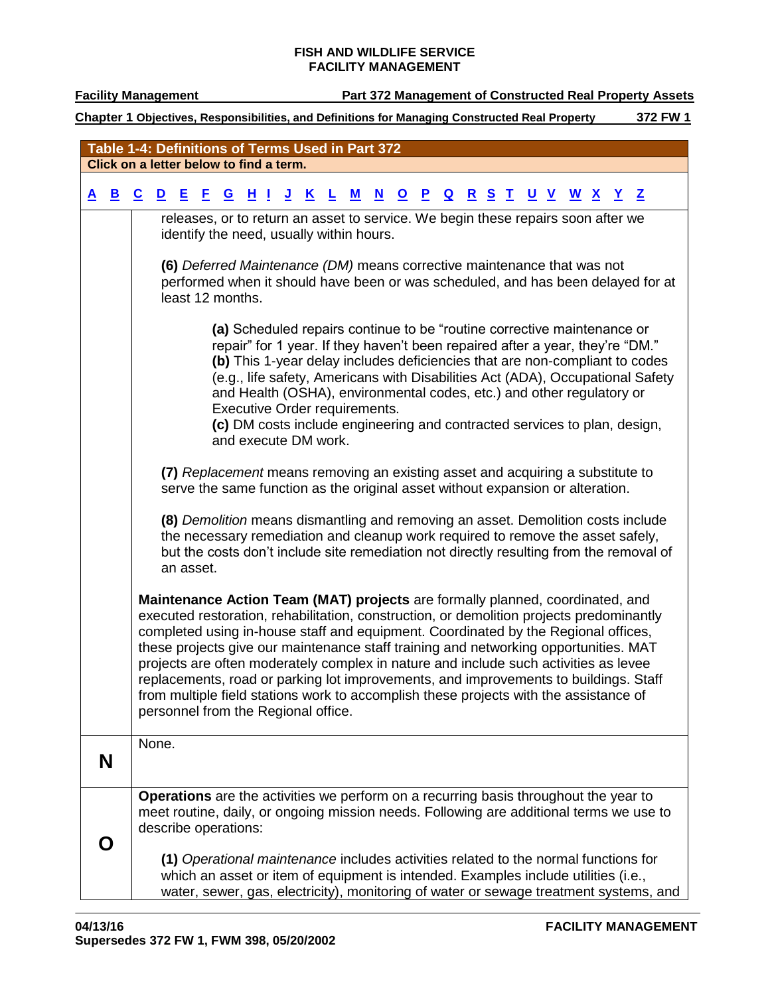# **Facility Management Part 372 Management of Constructed Real Property Assets**

<span id="page-10-1"></span><span id="page-10-0"></span>

|          |              |                          |                         |                      |    |          | Table 1-4: Definitions of Terms Used in Part 372                                                                                                                                                                                                                                                                                                                                                                                                                                    |                         |   |           |                          |                         |              |                         |            |              |           |                          |                          |            |                                                                                                                                                                                  |
|----------|--------------|--------------------------|-------------------------|----------------------|----|----------|-------------------------------------------------------------------------------------------------------------------------------------------------------------------------------------------------------------------------------------------------------------------------------------------------------------------------------------------------------------------------------------------------------------------------------------------------------------------------------------|-------------------------|---|-----------|--------------------------|-------------------------|--------------|-------------------------|------------|--------------|-----------|--------------------------|--------------------------|------------|----------------------------------------------------------------------------------------------------------------------------------------------------------------------------------|
|          |              |                          |                         |                      |    |          | Click on a letter below to find a term.                                                                                                                                                                                                                                                                                                                                                                                                                                             |                         |   |           |                          |                         |              |                         |            |              |           |                          |                          |            |                                                                                                                                                                                  |
| <u>A</u> | $\mathbf{B}$ | $\underline{\mathbf{c}}$ | $\overline{\mathbf{D}}$ | E                    | Е. | <u>H</u> | <u>J</u><br>U.                                                                                                                                                                                                                                                                                                                                                                                                                                                                      | $\overline{\mathbf{K}}$ | L | ${\bf M}$ | $\underline{\mathbf{N}}$ | $\overline{\mathbf{Q}}$ | $\mathbf{P}$ | $\overline{\mathbf{Q}}$ | <u>R S</u> | $\mathbf{I}$ | <u>UV</u> | $\underline{\mathbf{w}}$ | $\underline{\mathbf{X}}$ | <u>Y</u> Z |                                                                                                                                                                                  |
|          |              |                          |                         |                      |    |          | releases, or to return an asset to service. We begin these repairs soon after we                                                                                                                                                                                                                                                                                                                                                                                                    |                         |   |           |                          |                         |              |                         |            |              |           |                          |                          |            |                                                                                                                                                                                  |
|          |              |                          |                         |                      |    |          | identify the need, usually within hours.                                                                                                                                                                                                                                                                                                                                                                                                                                            |                         |   |           |                          |                         |              |                         |            |              |           |                          |                          |            |                                                                                                                                                                                  |
|          |              |                          |                         | least 12 months.     |    |          | (6) Deferred Maintenance (DM) means corrective maintenance that was not                                                                                                                                                                                                                                                                                                                                                                                                             |                         |   |           |                          |                         |              |                         |            |              |           |                          |                          |            | performed when it should have been or was scheduled, and has been delayed for at                                                                                                 |
|          |              |                          |                         |                      |    |          |                                                                                                                                                                                                                                                                                                                                                                                                                                                                                     |                         |   |           |                          |                         |              |                         |            |              |           |                          |                          |            |                                                                                                                                                                                  |
|          |              |                          |                         |                      |    |          | (a) Scheduled repairs continue to be "routine corrective maintenance or<br>repair" for 1 year. If they haven't been repaired after a year, they're "DM."<br>and Health (OSHA), environmental codes, etc.) and other regulatory or<br>Executive Order requirements.<br>(c) DM costs include engineering and contracted services to plan, design,<br>and execute DM work.                                                                                                             |                         |   |           |                          |                         |              |                         |            |              |           |                          |                          |            | (b) This 1-year delay includes deficiencies that are non-compliant to codes<br>(e.g., life safety, Americans with Disabilities Act (ADA), Occupational Safety                    |
|          |              |                          |                         |                      |    |          | (7) Replacement means removing an existing asset and acquiring a substitute to<br>serve the same function as the original asset without expansion or alteration.                                                                                                                                                                                                                                                                                                                    |                         |   |           |                          |                         |              |                         |            |              |           |                          |                          |            |                                                                                                                                                                                  |
|          |              |                          |                         | an asset.            |    |          | the necessary remediation and cleanup work required to remove the asset safely,                                                                                                                                                                                                                                                                                                                                                                                                     |                         |   |           |                          |                         |              |                         |            |              |           |                          |                          |            | (8) Demolition means dismantling and removing an asset. Demolition costs include<br>but the costs don't include site remediation not directly resulting from the removal of      |
|          |              |                          |                         |                      |    |          | Maintenance Action Team (MAT) projects are formally planned, coordinated, and<br>completed using in-house staff and equipment. Coordinated by the Regional offices,<br>these projects give our maintenance staff training and networking opportunities. MAT<br>projects are often moderately complex in nature and include such activities as levee<br>from multiple field stations work to accomplish these projects with the assistance of<br>personnel from the Regional office. |                         |   |           |                          |                         |              |                         |            |              |           |                          |                          |            | executed restoration, rehabilitation, construction, or demolition projects predominantly<br>replacements, road or parking lot improvements, and improvements to buildings. Staff |
|          | N            |                          | None.                   |                      |    |          |                                                                                                                                                                                                                                                                                                                                                                                                                                                                                     |                         |   |           |                          |                         |              |                         |            |              |           |                          |                          |            |                                                                                                                                                                                  |
|          |              |                          |                         | describe operations: |    |          | Operations are the activities we perform on a recurring basis throughout the year to                                                                                                                                                                                                                                                                                                                                                                                                |                         |   |           |                          |                         |              |                         |            |              |           |                          |                          |            | meet routine, daily, or ongoing mission needs. Following are additional terms we use to                                                                                          |
|          |              |                          |                         |                      |    |          | (1) Operational maintenance includes activities related to the normal functions for<br>which an asset or item of equipment is intended. Examples include utilities (i.e.,                                                                                                                                                                                                                                                                                                           |                         |   |           |                          |                         |              |                         |            |              |           |                          |                          |            | water, sewer, gas, electricity), monitoring of water or sewage treatment systems, and                                                                                            |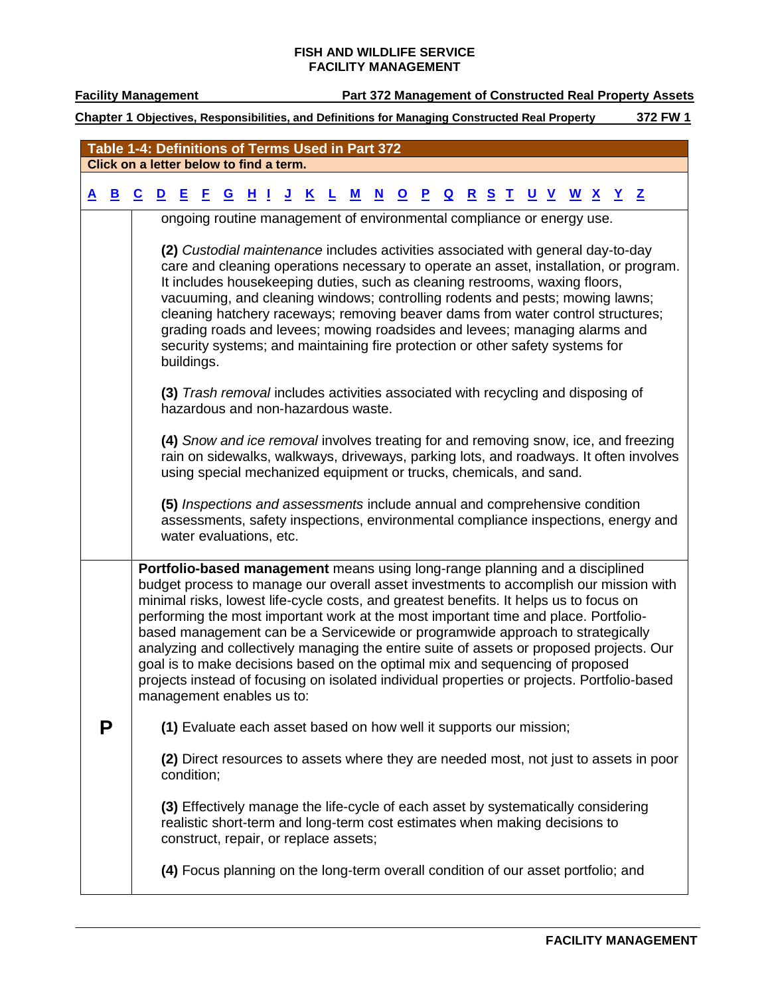**Facility Management Part 372 Management of Constructed Real Property Assets** 

<span id="page-11-0"></span>

| Table 1-4: Definitions of Terms Used in Part 372 |   |                         |                                         |            |    |                |          |                         |                                                                                                                                                                                                                                                                                                                                                                                                                                  |   |                          |              |              |                         |              |              |   |                          |              |                                                     |   |                                                                                                                                                                                                                                                                                  |  |
|--------------------------------------------------|---|-------------------------|-----------------------------------------|------------|----|----------------|----------|-------------------------|----------------------------------------------------------------------------------------------------------------------------------------------------------------------------------------------------------------------------------------------------------------------------------------------------------------------------------------------------------------------------------------------------------------------------------|---|--------------------------|--------------|--------------|-------------------------|--------------|--------------|---|--------------------------|--------------|-----------------------------------------------------|---|----------------------------------------------------------------------------------------------------------------------------------------------------------------------------------------------------------------------------------------------------------------------------------|--|
|                                                  |   |                         | Click on a letter below to find a term. |            |    |                |          |                         |                                                                                                                                                                                                                                                                                                                                                                                                                                  |   |                          |              |              |                         |              |              |   |                          |              |                                                     |   |                                                                                                                                                                                                                                                                                  |  |
| A                                                | В | $\overline{\mathbf{c}}$ | $\mathbf{D}$                            | E          | F. | $\overline{G}$ | <u>H</u> | <u>J</u><br>-1          | K                                                                                                                                                                                                                                                                                                                                                                                                                                | M | $\underline{\mathbf{N}}$ | $\mathbf{o}$ | $\mathbf{P}$ | $\overline{\mathbf{Q}}$ | $\mathbf{R}$ | $\mathbf{s}$ | T | $\underline{\mathsf{u}}$ | $\mathbf{V}$ | $\underline{\mathbf{w}}$<br>$\overline{\mathbf{X}}$ | Y | $\mathbf{Z}$                                                                                                                                                                                                                                                                     |  |
|                                                  |   |                         |                                         |            |    |                |          |                         | ongoing routine management of environmental compliance or energy use.                                                                                                                                                                                                                                                                                                                                                            |   |                          |              |              |                         |              |              |   |                          |              |                                                     |   |                                                                                                                                                                                                                                                                                  |  |
|                                                  |   |                         |                                         | buildings. |    |                |          |                         | (2) Custodial maintenance includes activities associated with general day-to-day<br>It includes housekeeping duties, such as cleaning restrooms, waxing floors,<br>vacuuming, and cleaning windows; controlling rodents and pests; mowing lawns;<br>grading roads and levees; mowing roadsides and levees; managing alarms and<br>security systems; and maintaining fire protection or other safety systems for                  |   |                          |              |              |                         |              |              |   |                          |              |                                                     |   | care and cleaning operations necessary to operate an asset, installation, or program.<br>cleaning hatchery raceways; removing beaver dams from water control structures;                                                                                                         |  |
|                                                  |   |                         |                                         |            |    |                |          |                         | (3) Trash removal includes activities associated with recycling and disposing of<br>hazardous and non-hazardous waste.                                                                                                                                                                                                                                                                                                           |   |                          |              |              |                         |              |              |   |                          |              |                                                     |   |                                                                                                                                                                                                                                                                                  |  |
|                                                  |   |                         |                                         |            |    |                |          |                         | using special mechanized equipment or trucks, chemicals, and sand.                                                                                                                                                                                                                                                                                                                                                               |   |                          |              |              |                         |              |              |   |                          |              |                                                     |   | (4) Snow and ice removal involves treating for and removing snow, ice, and freezing<br>rain on sidewalks, walkways, driveways, parking lots, and roadways. It often involves                                                                                                     |  |
|                                                  |   |                         |                                         |            |    |                |          | water evaluations, etc. | (5) Inspections and assessments include annual and comprehensive condition                                                                                                                                                                                                                                                                                                                                                       |   |                          |              |              |                         |              |              |   |                          |              |                                                     |   | assessments, safety inspections, environmental compliance inspections, energy and                                                                                                                                                                                                |  |
|                                                  |   |                         | management enables us to:               |            |    |                |          |                         | Portfolio-based management means using long-range planning and a disciplined<br>minimal risks, lowest life-cycle costs, and greatest benefits. It helps us to focus on<br>performing the most important work at the most important time and place. Portfolio-<br>based management can be a Servicewide or programwide approach to strategically<br>goal is to make decisions based on the optimal mix and sequencing of proposed |   |                          |              |              |                         |              |              |   |                          |              |                                                     |   | budget process to manage our overall asset investments to accomplish our mission with<br>analyzing and collectively managing the entire suite of assets or proposed projects. Our<br>projects instead of focusing on isolated individual properties or projects. Portfolio-based |  |
|                                                  | P |                         |                                         |            |    |                |          |                         | (1) Evaluate each asset based on how well it supports our mission;                                                                                                                                                                                                                                                                                                                                                               |   |                          |              |              |                         |              |              |   |                          |              |                                                     |   |                                                                                                                                                                                                                                                                                  |  |
|                                                  |   |                         |                                         | condition; |    |                |          |                         |                                                                                                                                                                                                                                                                                                                                                                                                                                  |   |                          |              |              |                         |              |              |   |                          |              |                                                     |   | (2) Direct resources to assets where they are needed most, not just to assets in poor                                                                                                                                                                                            |  |
|                                                  |   |                         |                                         |            |    |                |          |                         | (3) Effectively manage the life-cycle of each asset by systematically considering<br>realistic short-term and long-term cost estimates when making decisions to<br>construct, repair, or replace assets;                                                                                                                                                                                                                         |   |                          |              |              |                         |              |              |   |                          |              |                                                     |   |                                                                                                                                                                                                                                                                                  |  |
|                                                  |   |                         |                                         |            |    |                |          |                         | (4) Focus planning on the long-term overall condition of our asset portfolio; and                                                                                                                                                                                                                                                                                                                                                |   |                          |              |              |                         |              |              |   |                          |              |                                                     |   |                                                                                                                                                                                                                                                                                  |  |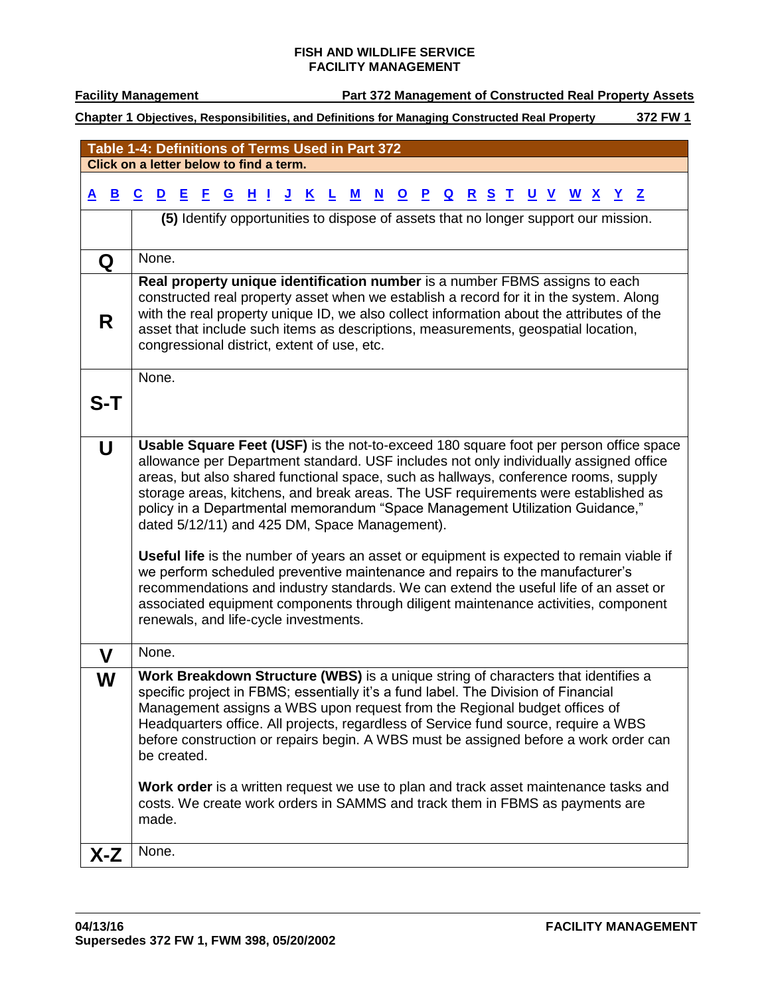**Facility Management Part 372 Management of Constructed Real Property Assets** 

<span id="page-12-6"></span><span id="page-12-5"></span><span id="page-12-4"></span><span id="page-12-3"></span><span id="page-12-2"></span><span id="page-12-1"></span><span id="page-12-0"></span>

| Table 1-4: Definitions of Terms Used in Part 372 |                                                                                                                                                                                                                                                                                                                                                                                                                                                                                                                                                                                                                                                                                                                                                                                                                                                                                                         |  |  |  |  |  |  |  |  |
|--------------------------------------------------|---------------------------------------------------------------------------------------------------------------------------------------------------------------------------------------------------------------------------------------------------------------------------------------------------------------------------------------------------------------------------------------------------------------------------------------------------------------------------------------------------------------------------------------------------------------------------------------------------------------------------------------------------------------------------------------------------------------------------------------------------------------------------------------------------------------------------------------------------------------------------------------------------------|--|--|--|--|--|--|--|--|
| Click on a letter below to find a term.          |                                                                                                                                                                                                                                                                                                                                                                                                                                                                                                                                                                                                                                                                                                                                                                                                                                                                                                         |  |  |  |  |  |  |  |  |
| $\mathbf{B}$<br><u>A</u>                         | $\overline{\mathbf{c}}$<br>$\mathbf{D}$<br>且<br>E<br><u>н</u><br>$\underline{\mathbf{K}}$<br>$\underline{\mathbf{N}}$<br><u>R S T</u><br><u>J</u><br>${\bf M}$<br><u>P</u><br>$\overline{\mathbf{Q}}$<br><u>U V W X Y Z</u><br>ш<br>$\overline{\mathbf{Q}}$<br>L                                                                                                                                                                                                                                                                                                                                                                                                                                                                                                                                                                                                                                        |  |  |  |  |  |  |  |  |
|                                                  | (5) Identify opportunities to dispose of assets that no longer support our mission.                                                                                                                                                                                                                                                                                                                                                                                                                                                                                                                                                                                                                                                                                                                                                                                                                     |  |  |  |  |  |  |  |  |
| Q                                                | None.                                                                                                                                                                                                                                                                                                                                                                                                                                                                                                                                                                                                                                                                                                                                                                                                                                                                                                   |  |  |  |  |  |  |  |  |
| R                                                | Real property unique identification number is a number FBMS assigns to each<br>constructed real property asset when we establish a record for it in the system. Along<br>with the real property unique ID, we also collect information about the attributes of the<br>asset that include such items as descriptions, measurements, geospatial location,<br>congressional district, extent of use, etc.                                                                                                                                                                                                                                                                                                                                                                                                                                                                                                  |  |  |  |  |  |  |  |  |
| S-T                                              | None.                                                                                                                                                                                                                                                                                                                                                                                                                                                                                                                                                                                                                                                                                                                                                                                                                                                                                                   |  |  |  |  |  |  |  |  |
| $\overline{U}$                                   | Usable Square Feet (USF) is the not-to-exceed 180 square foot per person office space<br>allowance per Department standard. USF includes not only individually assigned office<br>areas, but also shared functional space, such as hallways, conference rooms, supply<br>storage areas, kitchens, and break areas. The USF requirements were established as<br>policy in a Departmental memorandum "Space Management Utilization Guidance,"<br>dated 5/12/11) and 425 DM, Space Management).<br><b>Useful life</b> is the number of years an asset or equipment is expected to remain viable if<br>we perform scheduled preventive maintenance and repairs to the manufacturer's<br>recommendations and industry standards. We can extend the useful life of an asset or<br>associated equipment components through diligent maintenance activities, component<br>renewals, and life-cycle investments. |  |  |  |  |  |  |  |  |
| $\mathbf V$                                      | None.                                                                                                                                                                                                                                                                                                                                                                                                                                                                                                                                                                                                                                                                                                                                                                                                                                                                                                   |  |  |  |  |  |  |  |  |
| W                                                | Work Breakdown Structure (WBS) is a unique string of characters that identifies a<br>specific project in FBMS; essentially it's a fund label. The Division of Financial<br>Management assigns a WBS upon request from the Regional budget offices of<br>Headquarters office. All projects, regardless of Service fund source, require a WBS<br>before construction or repairs begin. A WBS must be assigned before a work order can<br>be created.<br>Work order is a written request we use to plan and track asset maintenance tasks and<br>costs. We create work orders in SAMMS and track them in FBMS as payments are<br>made.                                                                                                                                                                                                                                                                     |  |  |  |  |  |  |  |  |
| $X-Z$                                            | None.                                                                                                                                                                                                                                                                                                                                                                                                                                                                                                                                                                                                                                                                                                                                                                                                                                                                                                   |  |  |  |  |  |  |  |  |